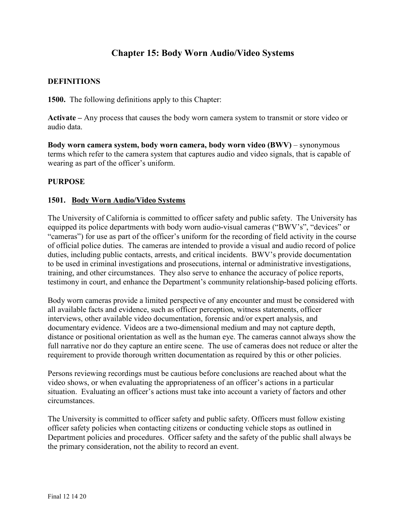# **Chapter 15: Body Worn Audio/Video Systems**

### **DEFINITIONS**

**1500.** The following definitions apply to this Chapter:

**Activate –** Any process that causes the body worn camera system to transmit or store video or audio data.

**Body worn camera system, body worn camera, body worn video (BWV)** – synonymous terms which refer to the camera system that captures audio and video signals, that is capable of wearing as part of the officer's uniform.

### **PURPOSE**

#### **1501. Body Worn Audio/Video Systems**

The University of California is committed to officer safety and public safety. The University has equipped its police departments with body worn audio-visual cameras ("BWV's", "devices" or "cameras") for use as part of the officer's uniform for the recording of field activity in the course of official police duties. The cameras are intended to provide a visual and audio record of police duties, including public contacts, arrests, and critical incidents. BWV's provide documentation to be used in criminal investigations and prosecutions, internal or administrative investigations, training, and other circumstances. They also serve to enhance the accuracy of police reports, testimony in court, and enhance the Department's community relationship-based policing efforts.

Body worn cameras provide a limited perspective of any encounter and must be considered with all available facts and evidence, such as officer perception, witness statements, officer interviews, other available video documentation, forensic and/or expert analysis, and documentary evidence. Videos are a two-dimensional medium and may not capture depth, distance or positional orientation as well as the human eye. The cameras cannot always show the full narrative nor do they capture an entire scene. The use of cameras does not reduce or alter the requirement to provide thorough written documentation as required by this or other policies.

Persons reviewing recordings must be cautious before conclusions are reached about what the video shows, or when evaluating the appropriateness of an officer's actions in a particular situation. Evaluating an officer's actions must take into account a variety of factors and other circumstances.

The University is committed to officer safety and public safety. Officers must follow existing officer safety policies when contacting citizens or conducting vehicle stops as outlined in Department policies and procedures. Officer safety and the safety of the public shall always be the primary consideration, not the ability to record an event.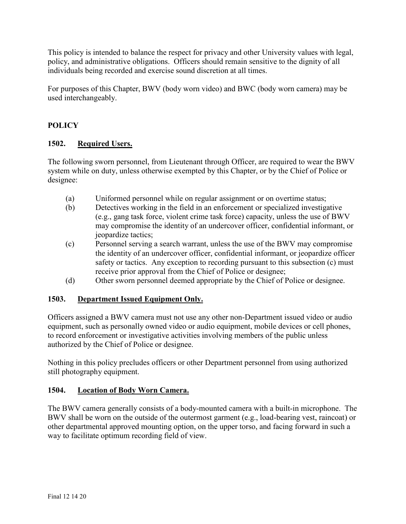This policy is intended to balance the respect for privacy and other University values with legal, policy, and administrative obligations. Officers should remain sensitive to the dignity of all individuals being recorded and exercise sound discretion at all times.

For purposes of this Chapter, BWV (body worn video) and BWC (body worn camera) may be used interchangeably.

# **POLICY**

## **1502. Required Users.**

The following sworn personnel, from Lieutenant through Officer, are required to wear the BWV system while on duty, unless otherwise exempted by this Chapter, or by the Chief of Police or designee:

- (a) Uniformed personnel while on regular assignment or on overtime status;
- (b) Detectives working in the field in an enforcement or specialized investigative (e.g., gang task force, violent crime task force) capacity, unless the use of BWV may compromise the identity of an undercover officer, confidential informant, or jeopardize tactics;
- (c) Personnel serving a search warrant, unless the use of the BWV may compromise the identity of an undercover officer, confidential informant, or jeopardize officer safety or tactics. Any exception to recording pursuant to this subsection (c) must receive prior approval from the Chief of Police or designee;
- (d) Other sworn personnel deemed appropriate by the Chief of Police or designee.

## **1503. Department Issued Equipment Only.**

Officers assigned a BWV camera must not use any other non-Department issued video or audio equipment, such as personally owned video or audio equipment, mobile devices or cell phones, to record enforcement or investigative activities involving members of the public unless authorized by the Chief of Police or designee.

Nothing in this policy precludes officers or other Department personnel from using authorized still photography equipment.

## **1504. Location of Body Worn Camera.**

The BWV camera generally consists of a body-mounted camera with a built-in microphone. The BWV shall be worn on the outside of the outermost garment (e.g., load-bearing vest, raincoat) or other departmental approved mounting option, on the upper torso, and facing forward in such a way to facilitate optimum recording field of view.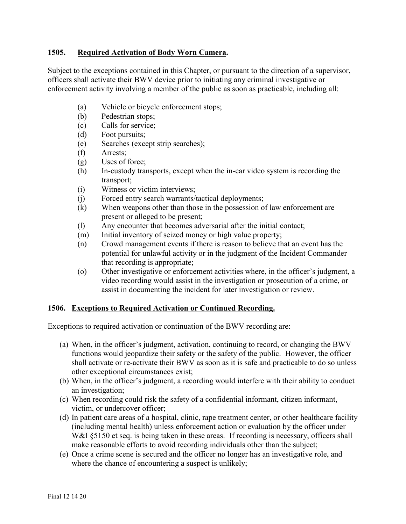### **1505. Required Activation of Body Worn Camera.**

Subject to the exceptions contained in this Chapter, or pursuant to the direction of a supervisor, officers shall activate their BWV device prior to initiating any criminal investigative or enforcement activity involving a member of the public as soon as practicable, including all:

- (a) Vehicle or bicycle enforcement stops;
- (b) Pedestrian stops;
- (c) Calls for service;
- (d) Foot pursuits;
- (e) Searches (except strip searches);
- (f) Arrests;
- (g) Uses of force;
- (h) In-custody transports, except when the in-car video system is recording the transport;
- (i) Witness or victim interviews;
- (j) Forced entry search warrants/tactical deployments;
- (k) When weapons other than those in the possession of law enforcement are present or alleged to be present;
- (l) Any encounter that becomes adversarial after the initial contact;
- (m) Initial inventory of seized money or high value property;
- (n) Crowd management events if there is reason to believe that an event has the potential for unlawful activity or in the judgment of the Incident Commander that recording is appropriate;
- (o) Other investigative or enforcement activities where, in the officer's judgment, a video recording would assist in the investigation or prosecution of a crime, or assist in documenting the incident for later investigation or review.

#### **1506. Exceptions to Required Activation or Continued Recording.**

Exceptions to required activation or continuation of the BWV recording are:

- (a) When, in the officer's judgment, activation, continuing to record, or changing the BWV functions would jeopardize their safety or the safety of the public. However, the officer shall activate or re-activate their BWV as soon as it is safe and practicable to do so unless other exceptional circumstances exist;
- (b) When, in the officer's judgment, a recording would interfere with their ability to conduct an investigation;
- (c) When recording could risk the safety of a confidential informant, citizen informant, victim, or undercover officer;
- (d) In patient care areas of a hospital, clinic, rape treatment center, or other healthcare facility (including mental health) unless enforcement action or evaluation by the officer under W&I §5150 et seq. is being taken in these areas. If recording is necessary, officers shall make reasonable efforts to avoid recording individuals other than the subject;
- (e) Once a crime scene is secured and the officer no longer has an investigative role, and where the chance of encountering a suspect is unlikely;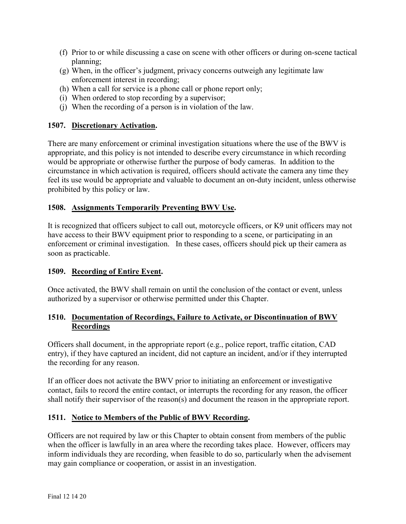- (f) Prior to or while discussing a case on scene with other officers or during on-scene tactical planning;
- (g) When, in the officer's judgment, privacy concerns outweigh any legitimate law enforcement interest in recording;
- (h) When a call for service is a phone call or phone report only;
- (i) When ordered to stop recording by a supervisor;
- (j) When the recording of a person is in violation of the law.

## **1507. Discretionary Activation.**

There are many enforcement or criminal investigation situations where the use of the BWV is appropriate, and this policy is not intended to describe every circumstance in which recording would be appropriate or otherwise further the purpose of body cameras. In addition to the circumstance in which activation is required, officers should activate the camera any time they feel its use would be appropriate and valuable to document an on-duty incident, unless otherwise prohibited by this policy or law.

## **1508. Assignments Temporarily Preventing BWV Use.**

It is recognized that officers subject to call out, motorcycle officers, or K9 unit officers may not have access to their BWV equipment prior to responding to a scene, or participating in an enforcement or criminal investigation. In these cases, officers should pick up their camera as soon as practicable.

## **1509. Recording of Entire Event.**

Once activated, the BWV shall remain on until the conclusion of the contact or event, unless authorized by a supervisor or otherwise permitted under this Chapter.

## **1510. Documentation of Recordings, Failure to Activate, or Discontinuation of BWV Recordings**

Officers shall document, in the appropriate report (e.g., police report, traffic citation, CAD entry), if they have captured an incident, did not capture an incident, and/or if they interrupted the recording for any reason.

If an officer does not activate the BWV prior to initiating an enforcement or investigative contact, fails to record the entire contact, or interrupts the recording for any reason, the officer shall notify their supervisor of the reason(s) and document the reason in the appropriate report.

## **1511. Notice to Members of the Public of BWV Recording.**

Officers are not required by law or this Chapter to obtain consent from members of the public when the officer is lawfully in an area where the recording takes place. However, officers may inform individuals they are recording, when feasible to do so, particularly when the advisement may gain compliance or cooperation, or assist in an investigation.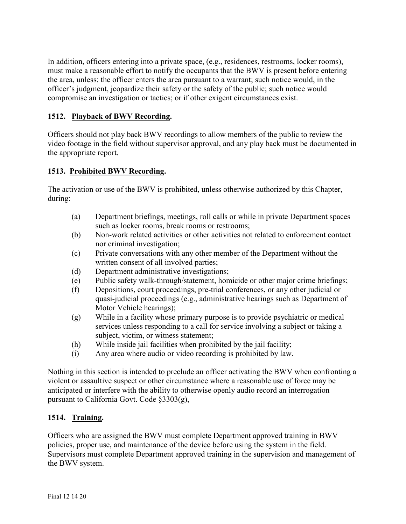In addition, officers entering into a private space, (e.g., residences, restrooms, locker rooms), must make a reasonable effort to notify the occupants that the BWV is present before entering the area, unless: the officer enters the area pursuant to a warrant; such notice would, in the officer's judgment, jeopardize their safety or the safety of the public; such notice would compromise an investigation or tactics; or if other exigent circumstances exist.

## **1512. Playback of BWV Recording.**

Officers should not play back BWV recordings to allow members of the public to review the video footage in the field without supervisor approval, and any play back must be documented in the appropriate report.

## **1513. Prohibited BWV Recording.**

The activation or use of the BWV is prohibited, unless otherwise authorized by this Chapter, during:

- (a) Department briefings, meetings, roll calls or while in private Department spaces such as locker rooms, break rooms or restrooms;
- (b) Non-work related activities or other activities not related to enforcement contact nor criminal investigation;
- (c) Private conversations with any other member of the Department without the written consent of all involved parties;
- (d) Department administrative investigations;
- (e) Public safety walk-through/statement, homicide or other major crime briefings;
- (f) Depositions, court proceedings, pre-trial conferences, or any other judicial or quasi-judicial proceedings (e.g., administrative hearings such as Department of Motor Vehicle hearings);
- (g) While in a facility whose primary purpose is to provide psychiatric or medical services unless responding to a call for service involving a subject or taking a subject, victim, or witness statement;
- (h) While inside jail facilities when prohibited by the jail facility;
- (i) Any area where audio or video recording is prohibited by law.

Nothing in this section is intended to preclude an officer activating the BWV when confronting a violent or assaultive suspect or other circumstance where a reasonable use of force may be anticipated or interfere with the ability to otherwise openly audio record an interrogation pursuant to California Govt. Code §3303(g),

## **1514. Training.**

Officers who are assigned the BWV must complete Department approved training in BWV policies, proper use, and maintenance of the device before using the system in the field. Supervisors must complete Department approved training in the supervision and management of the BWV system.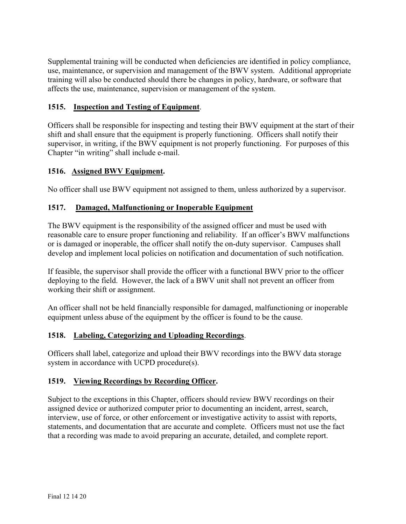Supplemental training will be conducted when deficiencies are identified in policy compliance, use, maintenance, or supervision and management of the BWV system. Additional appropriate training will also be conducted should there be changes in policy, hardware, or software that affects the use, maintenance, supervision or management of the system.

## **1515. Inspection and Testing of Equipment**.

Officers shall be responsible for inspecting and testing their BWV equipment at the start of their shift and shall ensure that the equipment is properly functioning. Officers shall notify their supervisor, in writing, if the BWV equipment is not properly functioning. For purposes of this Chapter "in writing" shall include e-mail.

## **1516. Assigned BWV Equipment.**

No officer shall use BWV equipment not assigned to them, unless authorized by a supervisor.

### **1517. Damaged, Malfunctioning or Inoperable Equipment**

The BWV equipment is the responsibility of the assigned officer and must be used with reasonable care to ensure proper functioning and reliability. If an officer's BWV malfunctions or is damaged or inoperable, the officer shall notify the on-duty supervisor. Campuses shall develop and implement local policies on notification and documentation of such notification.

If feasible, the supervisor shall provide the officer with a functional BWV prior to the officer deploying to the field. However, the lack of a BWV unit shall not prevent an officer from working their shift or assignment.

An officer shall not be held financially responsible for damaged, malfunctioning or inoperable equipment unless abuse of the equipment by the officer is found to be the cause.

#### **1518. Labeling, Categorizing and Uploading Recordings**.

Officers shall label, categorize and upload their BWV recordings into the BWV data storage system in accordance with UCPD procedure(s).

## **1519. Viewing Recordings by Recording Officer.**

Subject to the exceptions in this Chapter, officers should review BWV recordings on their assigned device or authorized computer prior to documenting an incident, arrest, search, interview, use of force, or other enforcement or investigative activity to assist with reports, statements, and documentation that are accurate and complete. Officers must not use the fact that a recording was made to avoid preparing an accurate, detailed, and complete report.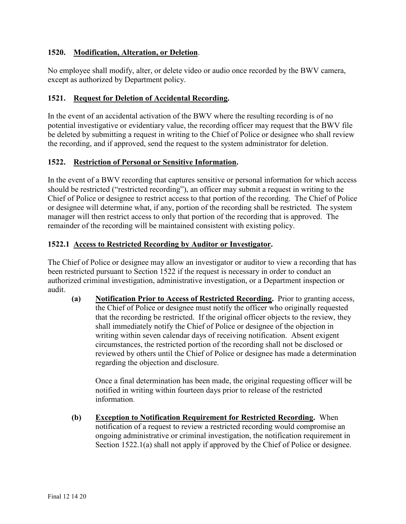### **1520. Modification, Alteration, or Deletion**.

No employee shall modify, alter, or delete video or audio once recorded by the BWV camera, except as authorized by Department policy.

### **1521. Request for Deletion of Accidental Recording.**

In the event of an accidental activation of the BWV where the resulting recording is of no potential investigative or evidentiary value, the recording officer may request that the BWV file be deleted by submitting a request in writing to the Chief of Police or designee who shall review the recording, and if approved, send the request to the system administrator for deletion.

### **1522. Restriction of Personal or Sensitive Information.**

In the event of a BWV recording that captures sensitive or personal information for which access should be restricted ("restricted recording"), an officer may submit a request in writing to the Chief of Police or designee to restrict access to that portion of the recording. The Chief of Police or designee will determine what, if any, portion of the recording shall be restricted. The system manager will then restrict access to only that portion of the recording that is approved. The remainder of the recording will be maintained consistent with existing policy.

### **1522.1 Access to Restricted Recording by Auditor or Investigator.**

The Chief of Police or designee may allow an investigator or auditor to view a recording that has been restricted pursuant to Section 1522 if the request is necessary in order to conduct an authorized criminal investigation, administrative investigation, or a Department inspection or audit.

**(a) Notification Prior to Access of Restricted Recording.** Prior to granting access, the Chief of Police or designee must notify the officer who originally requested that the recording be restricted. If the original officer objects to the review, they shall immediately notify the Chief of Police or designee of the objection in writing within seven calendar days of receiving notification. Absent exigent circumstances, the restricted portion of the recording shall not be disclosed or reviewed by others until the Chief of Police or designee has made a determination regarding the objection and disclosure.

Once a final determination has been made, the original requesting officer will be notified in writing within fourteen days prior to release of the restricted information.

**(b) Exception to Notification Requirement for Restricted Recording.** When notification of a request to review a restricted recording would compromise an ongoing administrative or criminal investigation, the notification requirement in Section 1522.1(a) shall not apply if approved by the Chief of Police or designee.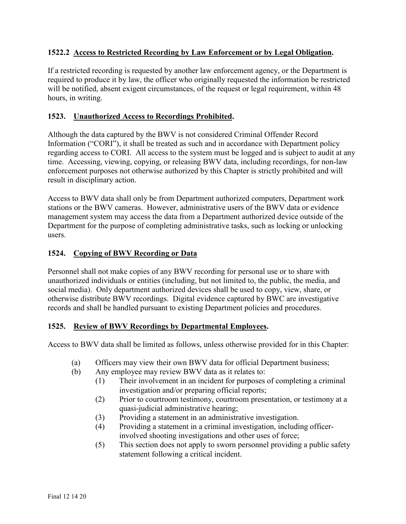## **1522.2 Access to Restricted Recording by Law Enforcement or by Legal Obligation.**

If a restricted recording is requested by another law enforcement agency, or the Department is required to produce it by law, the officer who originally requested the information be restricted will be notified, absent exigent circumstances, of the request or legal requirement, within 48 hours, in writing.

## **1523. Unauthorized Access to Recordings Prohibited.**

Although the data captured by the BWV is not considered Criminal Offender Record Information ("CORI"), it shall be treated as such and in accordance with Department policy regarding access to CORI. All access to the system must be logged and is subject to audit at any time. Accessing, viewing, copying, or releasing BWV data, including recordings, for non-law enforcement purposes not otherwise authorized by this Chapter is strictly prohibited and will result in disciplinary action.

Access to BWV data shall only be from Department authorized computers, Department work stations or the BWV cameras. However, administrative users of the BWV data or evidence management system may access the data from a Department authorized device outside of the Department for the purpose of completing administrative tasks, such as locking or unlocking users.

## **1524. Copying of BWV Recording or Data**

Personnel shall not make copies of any BWV recording for personal use or to share with unauthorized individuals or entities (including, but not limited to, the public, the media, and social media). Only department authorized devices shall be used to copy, view, share, or otherwise distribute BWV recordings. Digital evidence captured by BWC are investigative records and shall be handled pursuant to existing Department policies and procedures.

## **1525. Review of BWV Recordings by Departmental Employees.**

Access to BWV data shall be limited as follows, unless otherwise provided for in this Chapter:

- (a) Officers may view their own BWV data for official Department business;
- (b) Any employee may review BWV data as it relates to:
	- (1) Their involvement in an incident for purposes of completing a criminal investigation and/or preparing official reports;
	- (2) Prior to courtroom testimony, courtroom presentation, or testimony at a quasi-judicial administrative hearing;
	- (3) Providing a statement in an administrative investigation.
	- (4) Providing a statement in a criminal investigation, including officerinvolved shooting investigations and other uses of force;
	- (5) This section does not apply to sworn personnel providing a public safety statement following a critical incident.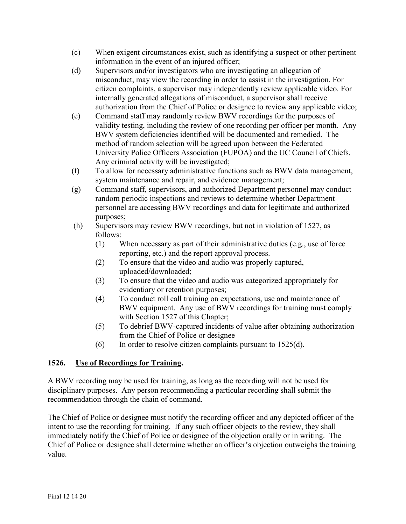- (c) When exigent circumstances exist, such as identifying a suspect or other pertinent information in the event of an injured officer;
- (d) Supervisors and/or investigators who are investigating an allegation of misconduct, may view the recording in order to assist in the investigation. For citizen complaints, a supervisor may independently review applicable video. For internally generated allegations of misconduct, a supervisor shall receive authorization from the Chief of Police or designee to review any applicable video;
- (e) Command staff may randomly review BWV recordings for the purposes of validity testing, including the review of one recording per officer per month. Any BWV system deficiencies identified will be documented and remedied. The method of random selection will be agreed upon between the Federated University Police Officers Association (FUPOA) and the UC Council of Chiefs. Any criminal activity will be investigated;
- (f) To allow for necessary administrative functions such as BWV data management, system maintenance and repair, and evidence management;
- (g) Command staff, supervisors, and authorized Department personnel may conduct random periodic inspections and reviews to determine whether Department personnel are accessing BWV recordings and data for legitimate and authorized purposes;
- (h) Supervisors may review BWV recordings, but not in violation of 1527, as follows:
	- (1) When necessary as part of their administrative duties (e.g., use of force reporting, etc.) and the report approval process.
	- (2) To ensure that the video and audio was properly captured, uploaded/downloaded;
	- (3) To ensure that the video and audio was categorized appropriately for evidentiary or retention purposes;
	- (4) To conduct roll call training on expectations, use and maintenance of BWV equipment. Any use of BWV recordings for training must comply with Section 1527 of this Chapter;
	- (5) To debrief BWV-captured incidents of value after obtaining authorization from the Chief of Police or designee
	- $(6)$  In order to resolve citizen complaints pursuant to 1525 $(d)$ .

## **1526. Use of Recordings for Training.**

A BWV recording may be used for training, as long as the recording will not be used for disciplinary purposes. Any person recommending a particular recording shall submit the recommendation through the chain of command.

The Chief of Police or designee must notify the recording officer and any depicted officer of the intent to use the recording for training. If any such officer objects to the review, they shall immediately notify the Chief of Police or designee of the objection orally or in writing. The Chief of Police or designee shall determine whether an officer's objection outweighs the training value.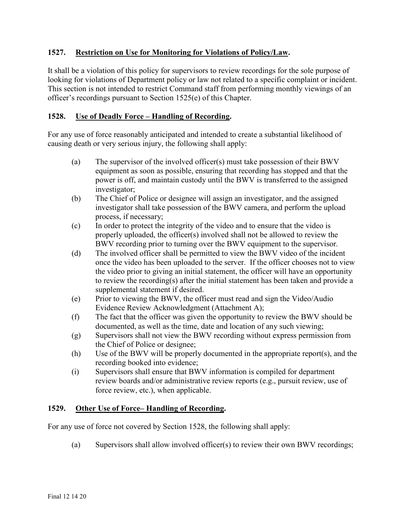## **1527. Restriction on Use for Monitoring for Violations of Policy/Law.**

It shall be a violation of this policy for supervisors to review recordings for the sole purpose of looking for violations of Department policy or law not related to a specific complaint or incident. This section is not intended to restrict Command staff from performing monthly viewings of an officer's recordings pursuant to Section 1525(e) of this Chapter.

## **1528. Use of Deadly Force – Handling of Recording.**

For any use of force reasonably anticipated and intended to create a substantial likelihood of causing death or very serious injury, the following shall apply:

- (a) The supervisor of the involved officer(s) must take possession of their BWV equipment as soon as possible, ensuring that recording has stopped and that the power is off, and maintain custody until the BWV is transferred to the assigned investigator;
- (b) The Chief of Police or designee will assign an investigator, and the assigned investigator shall take possession of the BWV camera, and perform the upload process, if necessary;
- (c) In order to protect the integrity of the video and to ensure that the video is properly uploaded, the officer(s) involved shall not be allowed to review the BWV recording prior to turning over the BWV equipment to the supervisor.
- (d) The involved officer shall be permitted to view the BWV video of the incident once the video has been uploaded to the server. If the officer chooses not to view the video prior to giving an initial statement, the officer will have an opportunity to review the recording(s) after the initial statement has been taken and provide a supplemental statement if desired.
- (e) Prior to viewing the BWV, the officer must read and sign the Video/Audio Evidence Review Acknowledgment (Attachment A);
- (f) The fact that the officer was given the opportunity to review the BWV should be documented, as well as the time, date and location of any such viewing;
- (g) Supervisors shall not view the BWV recording without express permission from the Chief of Police or designee;
- (h) Use of the BWV will be properly documented in the appropriate report(s), and the recording booked into evidence;
- (i) Supervisors shall ensure that BWV information is compiled for department review boards and/or administrative review reports (e.g., pursuit review, use of force review, etc.), when applicable.

## **1529. Other Use of Force– Handling of Recording.**

For any use of force not covered by Section 1528, the following shall apply:

(a) Supervisors shall allow involved officer(s) to review their own BWV recordings;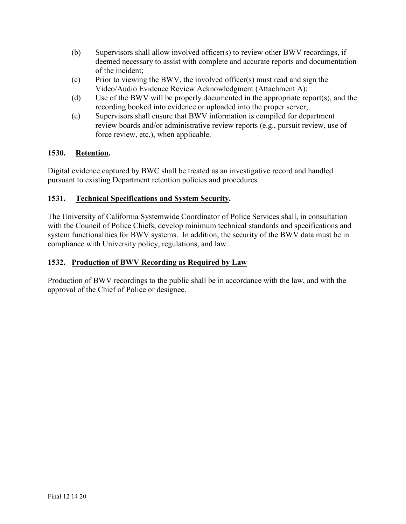- (b) Supervisors shall allow involved officer(s) to review other BWV recordings, if deemed necessary to assist with complete and accurate reports and documentation of the incident;
- (c) Prior to viewing the BWV, the involved officer(s) must read and sign the Video/Audio Evidence Review Acknowledgment (Attachment A);
- (d) Use of the BWV will be properly documented in the appropriate report(s), and the recording booked into evidence or uploaded into the proper server;
- (e) Supervisors shall ensure that BWV information is compiled for department review boards and/or administrative review reports (e.g., pursuit review, use of force review, etc.), when applicable.

## **1530. Retention.**

Digital evidence captured by BWC shall be treated as an investigative record and handled pursuant to existing Department retention policies and procedures.

## **1531. Technical Specifications and System Security.**

The University of California Systemwide Coordinator of Police Services shall, in consultation with the Council of Police Chiefs, develop minimum technical standards and specifications and system functionalities for BWV systems. In addition, the security of the BWV data must be in compliance with University policy, regulations, and law..

## **1532. Production of BWV Recording as Required by Law**

Production of BWV recordings to the public shall be in accordance with the law, and with the approval of the Chief of Police or designee.